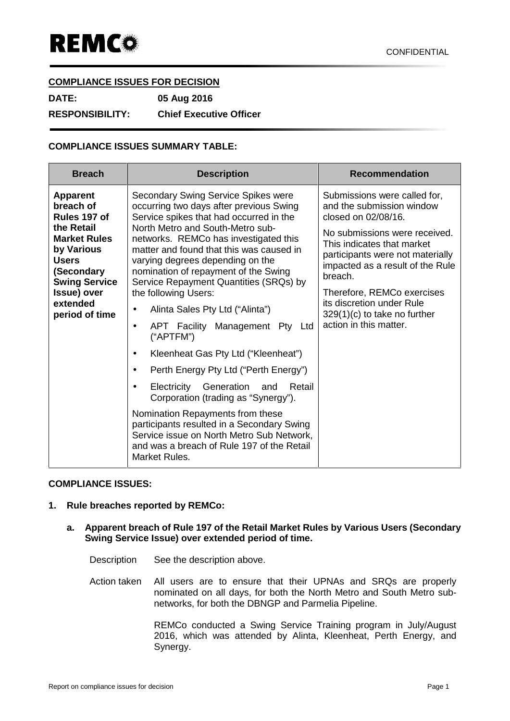## **COMPLIANCE ISSUES FOR DECISION**

**DATE: 05 Aug 2016**

**RESPONSIBILITY: Chief Executive Officer**

# **COMPLIANCE ISSUES SUMMARY TABLE:**

| <b>Breach</b>                                                                                                                                                                                      | <b>Description</b>                                                                                                                                                                                                                                                                                                                                                                                                                                                                                                                                                                                                                                                                                                                                                                                                                                                                                                | <b>Recommendation</b>                                                                                                                                                                                                                                                                                                                                     |
|----------------------------------------------------------------------------------------------------------------------------------------------------------------------------------------------------|-------------------------------------------------------------------------------------------------------------------------------------------------------------------------------------------------------------------------------------------------------------------------------------------------------------------------------------------------------------------------------------------------------------------------------------------------------------------------------------------------------------------------------------------------------------------------------------------------------------------------------------------------------------------------------------------------------------------------------------------------------------------------------------------------------------------------------------------------------------------------------------------------------------------|-----------------------------------------------------------------------------------------------------------------------------------------------------------------------------------------------------------------------------------------------------------------------------------------------------------------------------------------------------------|
| <b>Apparent</b><br>breach of<br>Rules 197 of<br>the Retail<br><b>Market Rules</b><br>by Various<br><b>Users</b><br>(Secondary<br><b>Swing Service</b><br>Issue) over<br>extended<br>period of time | Secondary Swing Service Spikes were<br>occurring two days after previous Swing<br>Service spikes that had occurred in the<br>North Metro and South-Metro sub-<br>networks. REMCo has investigated this<br>matter and found that this was caused in<br>varying degrees depending on the<br>nomination of repayment of the Swing<br>Service Repayment Quantities (SRQs) by<br>the following Users:<br>Alinta Sales Pty Ltd ("Alinta")<br>$\bullet$<br>APT Facility Management Pty Ltd<br>$\bullet$<br>("APTFM")<br>Kleenheat Gas Pty Ltd ("Kleenheat")<br>$\bullet$<br>Perth Energy Pty Ltd ("Perth Energy")<br>$\bullet$<br>Electricity Generation and<br>Retail<br>$\bullet$<br>Corporation (trading as "Synergy").<br>Nomination Repayments from these<br>participants resulted in a Secondary Swing<br>Service issue on North Metro Sub Network,<br>and was a breach of Rule 197 of the Retail<br>Market Rules. | Submissions were called for,<br>and the submission window<br>closed on 02/08/16.<br>No submissions were received.<br>This indicates that market<br>participants were not materially<br>impacted as a result of the Rule<br>breach.<br>Therefore, REMCo exercises<br>its discretion under Rule<br>$329(1)(c)$ to take no further<br>action in this matter. |

### **COMPLIANCE ISSUES:**

### **1. Rule breaches reported by REMCo:**

#### **a. Apparent breach of Rule 197 of the Retail Market Rules by Various Users (Secondary Swing Service Issue) over extended period of time.**

- Description See the description above.
- Action taken All users are to ensure that their UPNAs and SRQs are properly nominated on all days, for both the North Metro and South Metro sub networks, for both the DBNGP and Parmelia Pipeline.

REMCo conducted a Swing Service Training program in July/August 2016, which was attended by Alinta, Kleenheat, Perth Energy, and Synergy.